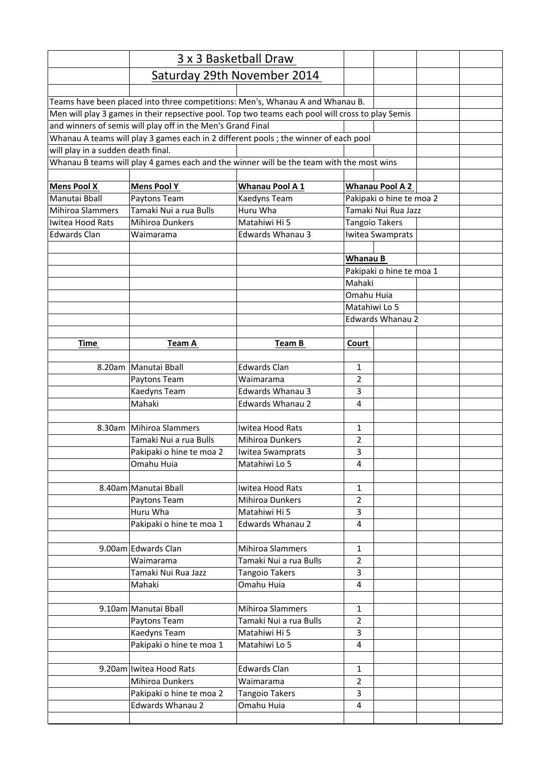|                                                                                          | 3 x 3 Basketball Draw    |                                                                                                  |                             |                          |  |  |
|------------------------------------------------------------------------------------------|--------------------------|--------------------------------------------------------------------------------------------------|-----------------------------|--------------------------|--|--|
|                                                                                          |                          | Saturday 29th November 2014                                                                      |                             |                          |  |  |
|                                                                                          |                          | Teams have been placed into three competitions: Men's, Whanau A and Whanau B.                    |                             |                          |  |  |
|                                                                                          |                          | Men will play 3 games in their repsective pool. Top two teams each pool will cross to play Semis |                             |                          |  |  |
| and winners of semis will play off in the Men's Grand Final                              |                          |                                                                                                  |                             |                          |  |  |
|                                                                                          |                          | Whanau A teams will play 3 games each in 2 different pools; the winner of each pool              |                             |                          |  |  |
| will play in a sudden death final.                                                       |                          |                                                                                                  |                             |                          |  |  |
| Whanau B teams will play 4 games each and the winner will be the team with the most wins |                          |                                                                                                  |                             |                          |  |  |
| <b>Mens Pool X</b>                                                                       | <b>Mens Pool Y</b>       | <b>Whanau Pool A1</b>                                                                            |                             | <b>Whanau Pool A 2</b>   |  |  |
| Manutai Bball                                                                            | Paytons Team             | Kaedyns Team                                                                                     |                             | Pakipaki o hine te moa 2 |  |  |
| <b>Mihiroa Slammers</b>                                                                  | Tamaki Nui a rua Bulls   | Huru Wha                                                                                         | Tamaki Nui Rua Jazz         |                          |  |  |
| Iwitea Hood Rats                                                                         | Mihiroa Dunkers          | Matahiwi Hi 5                                                                                    |                             | <b>Tangoio Takers</b>    |  |  |
| <b>Edwards Clan</b>                                                                      | Waimarama                | Edwards Whanau 3                                                                                 |                             | Iwitea Swamprats         |  |  |
|                                                                                          |                          |                                                                                                  |                             |                          |  |  |
|                                                                                          |                          |                                                                                                  | Whanau B                    |                          |  |  |
|                                                                                          |                          |                                                                                                  |                             | Pakipaki o hine te moa 1 |  |  |
|                                                                                          |                          |                                                                                                  | Mahaki                      |                          |  |  |
|                                                                                          |                          |                                                                                                  | Omahu Huia<br>Matahiwi Lo 5 |                          |  |  |
|                                                                                          |                          |                                                                                                  |                             |                          |  |  |
|                                                                                          |                          |                                                                                                  | <b>Edwards Whanau 2</b>     |                          |  |  |
|                                                                                          |                          |                                                                                                  |                             |                          |  |  |
| <b>Time</b>                                                                              | <b>Team A</b>            | Team B                                                                                           | Court                       |                          |  |  |
|                                                                                          |                          |                                                                                                  |                             |                          |  |  |
|                                                                                          | 8.20am   Manutai Bball   | <b>Edwards Clan</b>                                                                              | $\mathbf{1}$                |                          |  |  |
|                                                                                          | Paytons Team             | Waimarama                                                                                        | $\overline{2}$              |                          |  |  |
|                                                                                          | Kaedyns Team             | <b>Edwards Whanau 3</b>                                                                          | 3                           |                          |  |  |
|                                                                                          | Mahaki                   | <b>Edwards Whanau 2</b>                                                                          | 4                           |                          |  |  |
|                                                                                          |                          |                                                                                                  |                             |                          |  |  |
|                                                                                          | 8.30am Mihiroa Slammers  | Iwitea Hood Rats                                                                                 | $\mathbf{1}$                |                          |  |  |
|                                                                                          | Tamaki Nui a rua Bulls   | <b>Mihiroa Dunkers</b>                                                                           | $\overline{2}$              |                          |  |  |
|                                                                                          | Pakipaki o hine te moa 2 | Iwitea Swamprats                                                                                 | 3                           |                          |  |  |
|                                                                                          | Omahu Huia               | Matahiwi Lo 5                                                                                    | 4                           |                          |  |  |
|                                                                                          | 8.40am Manutai Bball     | Iwitea Hood Rats                                                                                 | $\mathbf{1}$                |                          |  |  |
|                                                                                          | Paytons Team             | Mihiroa Dunkers                                                                                  | $\overline{2}$              |                          |  |  |
|                                                                                          | Huru Wha                 | Matahiwi Hi 5                                                                                    | 3                           |                          |  |  |
|                                                                                          | Pakipaki o hine te moa 1 | Edwards Whanau 2                                                                                 | 4                           |                          |  |  |
|                                                                                          |                          |                                                                                                  |                             |                          |  |  |
|                                                                                          | 9.00am Edwards Clan      | Mihiroa Slammers                                                                                 | $\mathbf{1}$                |                          |  |  |
|                                                                                          | Waimarama                | Tamaki Nui a rua Bulls                                                                           | $\overline{2}$              |                          |  |  |
|                                                                                          | Tamaki Nui Rua Jazz      | <b>Tangoio Takers</b>                                                                            | 3                           |                          |  |  |
|                                                                                          | Mahaki                   | Omahu Huia                                                                                       | 4                           |                          |  |  |
|                                                                                          |                          |                                                                                                  |                             |                          |  |  |
|                                                                                          | 9.10am Manutai Bball     | Mihiroa Slammers                                                                                 | $\mathbf{1}$                |                          |  |  |
|                                                                                          | Paytons Team             | Tamaki Nui a rua Bulls                                                                           | $\overline{2}$              |                          |  |  |
|                                                                                          | Kaedyns Team             | Matahiwi Hi 5                                                                                    | 3                           |                          |  |  |
|                                                                                          | Pakipaki o hine te moa 1 | Matahiwi Lo 5                                                                                    | 4                           |                          |  |  |
|                                                                                          |                          |                                                                                                  |                             |                          |  |  |
|                                                                                          | 9.20am Iwitea Hood Rats  | <b>Edwards Clan</b>                                                                              | $\mathbf{1}$                |                          |  |  |
|                                                                                          | Mihiroa Dunkers          | Waimarama                                                                                        | $\overline{2}$              |                          |  |  |
|                                                                                          | Pakipaki o hine te moa 2 | <b>Tangoio Takers</b>                                                                            | 3                           |                          |  |  |
|                                                                                          | Edwards Whanau 2         | Omahu Huia                                                                                       | 4                           |                          |  |  |
|                                                                                          |                          |                                                                                                  |                             |                          |  |  |